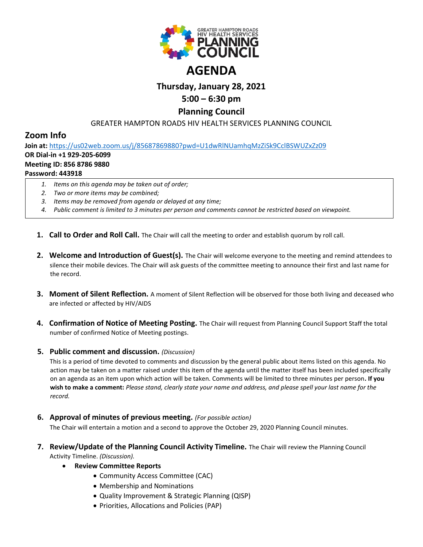

# **Thursday, January 28, 2021**

## **5:00 – 6:30 pm**

### **Planning Council**

GREATER HAMPTON ROADS HIV HEALTH SERVICES PLANNING COUNCIL

## **Zoom Info**

**Join at:** <https://us02web.zoom.us/j/85687869880?pwd=U1dwRlNUamhqMzZiSk9CclBSWUZxZz09>

#### **OR Dial-in +1 929-205-6099**

#### **Meeting ID: 856 8786 9880**

#### **Password: 443918**

- *1. Items on this agenda may be taken out of order;*
- *2. Two or more items may be combined;*
- *3. Items may be removed from agenda or delayed at any time;*
- *4. Public comment is limited to 3 minutes per person and comments cannot be restricted based on viewpoint.*
- **1. Call to Order and Roll Call.** The Chair will call the meeting to order and establish quorum by roll call.
- **2. Welcome and Introduction of Guest(s).** The Chair will welcome everyone to the meeting and remind attendees to silence their mobile devices. The Chair will ask guests of the committee meeting to announce their first and last name for the record.
- **3. Moment of Silent Reflection.** A moment of Silent Reflection will be observed for those both living and deceased who are infected or affected by HIV/AIDS
- **4. Confirmation of Notice of Meeting Posting.** The Chair will request from Planning Council Support Staff the total number of confirmed Notice of Meeting postings.

#### **5. Public comment and discussion.** *(Discussion)*

This is a period of time devoted to comments and discussion by the general public about items listed on this agenda. No action may be taken on a matter raised under this item of the agenda until the matter itself has been included specifically on an agenda as an item upon which action will be taken. Comments will be limited to three minutes per person**. If you wish to make a comment:** *Please stand, clearly state your name and address, and please spell your last name for the record.*

**6. Approval of minutes of previous meeting.** *(For possible action)*

The Chair will entertain a motion and a second to approve the October 29, 2020 Planning Council minutes.

- **7. Review/Update of the Planning Council Activity Timeline.** The Chair will review the Planning Council Activity Timeline. *(Discussion).*
	- **Review Committee Reports**
		- Community Access Committee (CAC)
		- Membership and Nominations
		- Quality Improvement & Strategic Planning (QISP)
		- Priorities, Allocations and Policies (PAP)